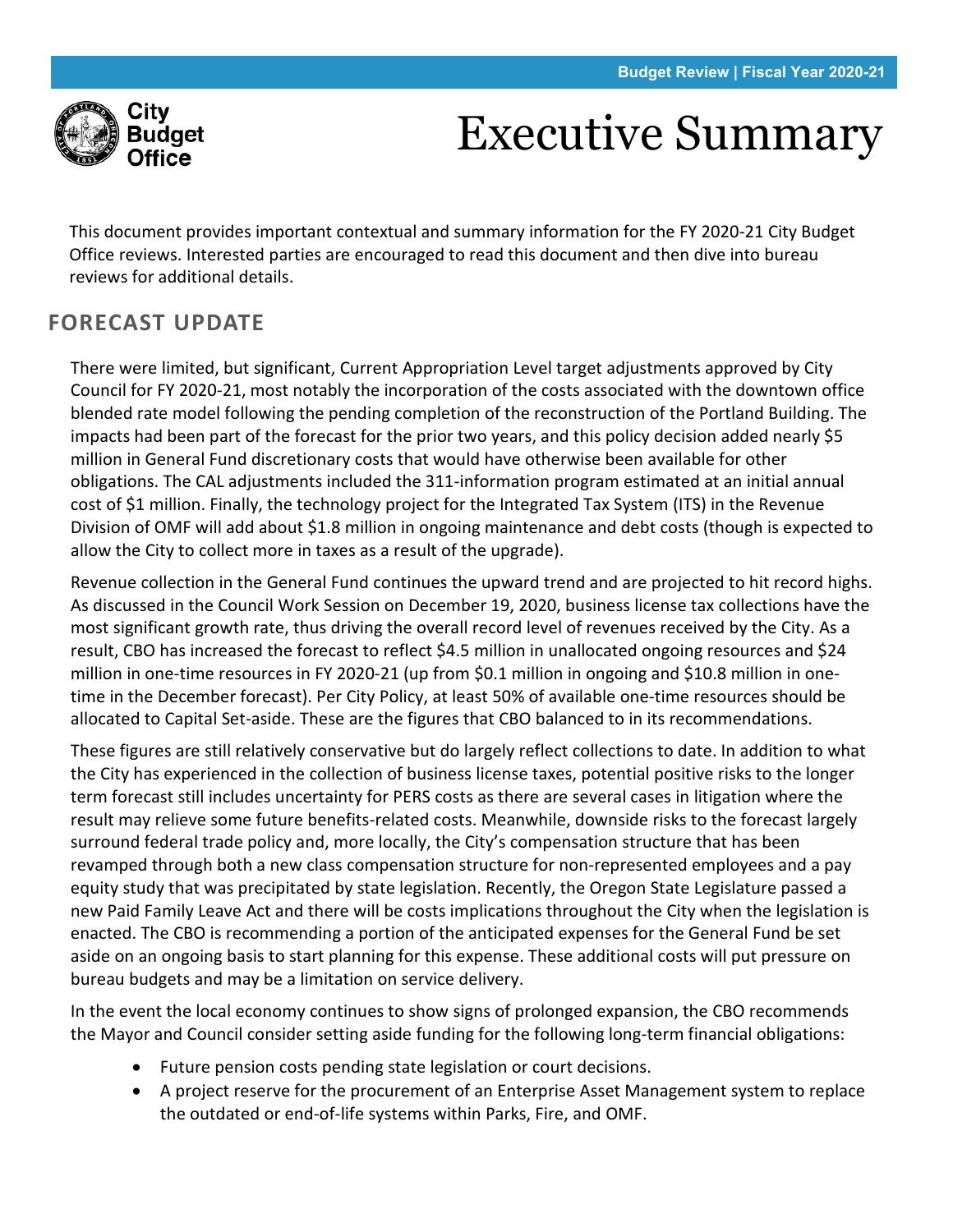

# Executive Summary

This document provides important contextual and summary information for the FY 2020-21 City Budget Office reviews. Interested parties are encouraged to read this document and then dive into bureau reviews for additional details.

# **FORECAST UPDATE**

There were limited, but significant, Current Appropriation Level target adjustments approved by City Council for FY 2020-21, most notably the incorporation of the costs associated with the downtown office blended rate model following the pending completion of the reconstruction of the Portland Building. The impacts had been part of the forecast for the prior two years, and this policy decision added nearly \$5 million in General Fund discretionary costs that would have otherwise been available for other obligations. The CAL adjustments included the 311-information program estimated at an initial annual cost of \$1 million. Finally, the technology project for the Integrated Tax System (ITS) in the Revenue Division of OMF will add about \$1.8 million in ongoing maintenance and debt costs (though is expected to allow the City to collect more in taxes as a result of the upgrade).

Revenue collection in the General Fund continues the upward trend and are projected to hit record highs. As discussed in the Council Work Session on December 19, 2020, business license tax collections have the most significant growth rate, thus driving the overall record level of revenues received by the City. As a result, CBO has increased the forecast to reflect \$4.5 million in unallocated ongoing resources and \$24 million in one-time resources in FY 2020-21 (up from \$0.1 million in ongoing and \$10.8 million in onetime in the December forecast). Per City Policy, at least 50% of available one-time resources should be allocated to Capital Set-aside. These are the figures that CBO balanced to in its recommendations.

These figures are still relatively conservative but do largely reflect collections to date. In addition to what the City has experienced in the collection of business license taxes, potential positive risks to the longer term forecast still includes uncertainty for PERS costs as there are several cases in litigation where the result may relieve some future benefits-related costs. Meanwhile, downside risks to the forecast largely surround federal trade policy and, more locally, the City's compensation structure that has been revamped through both a new class compensation structure for non-represented employees and a pay equity study that was precipitated by state legislation. Recently, the Oregon State Legislature passed a new Paid Family Leave Act and there will be costs implications throughout the City when the legislation is enacted. The CBO is recommending a portion of the anticipated expenses for the General Fund be set aside on an ongoing basis to start planning for this expense. These additional costs will put pressure on bureau budgets and may be a limitation on service delivery.

In the event the local economy continues to show signs of prolonged expansion, the CBO recommends the Mayor and Council consider setting aside funding for the following long-term financial obligations:

- Future pension costs pending state legislation or court decisions.
- A project reserve for the procurement of an Enterprise Asset Management system to replace the outdated or end-of-life systems within Parks, Fire, and OMF.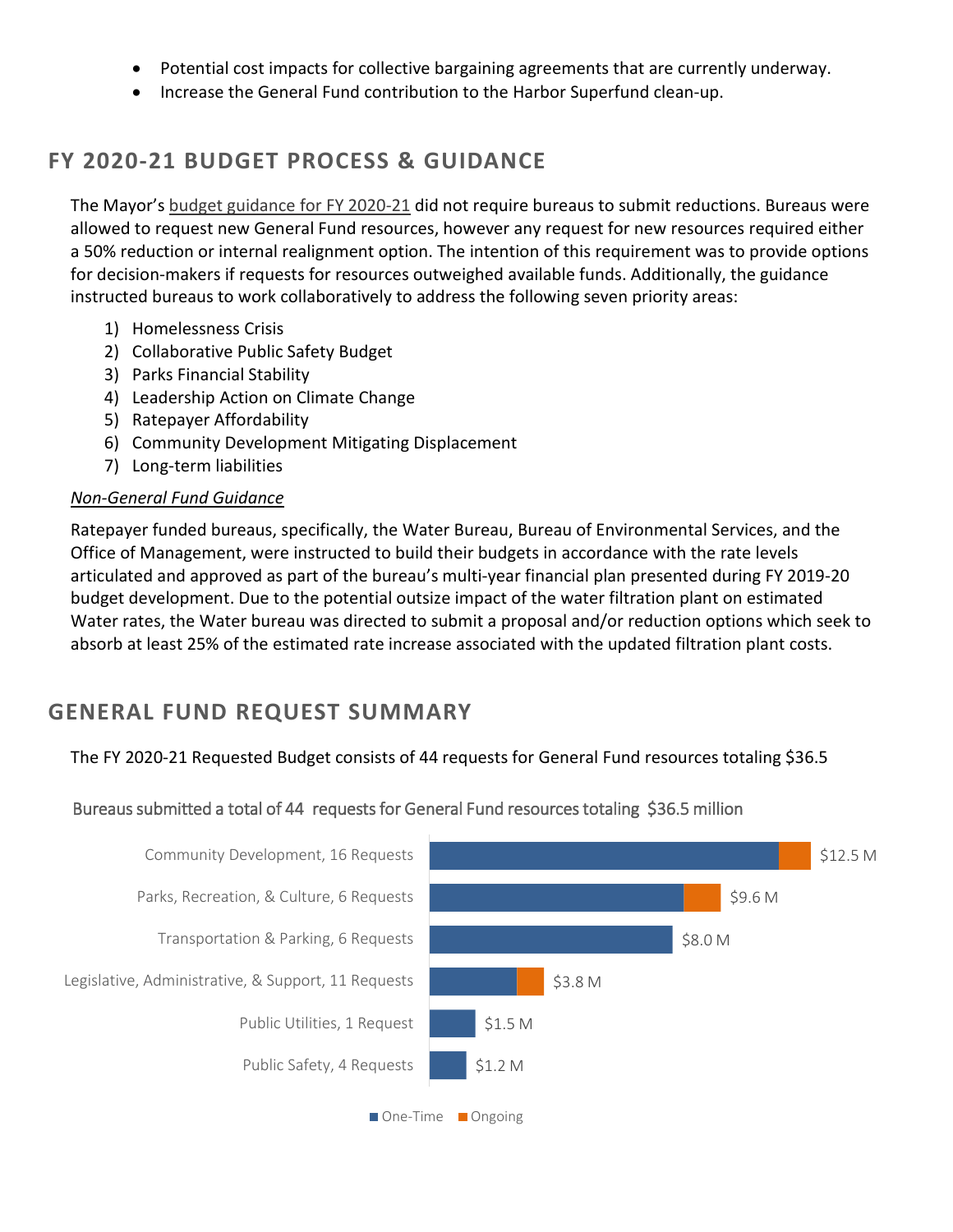- Potential cost impacts for collective bargaining agreements that are currently underway.
- Increase the General Fund contribution to the Harbor Superfund clean-up.

# **FY 2020-21 BUDGET PROCESS & GUIDANCE**

The Mayor's [budget guidance for FY 2020-21](https://www.portlandoregon.gov/cbo/article/743645) did not require bureaus to submit reductions. Bureaus were allowed to request new General Fund resources, however any request for new resources required either a 50% reduction or internal realignment option. The intention of this requirement was to provide options for decision-makers if requests for resources outweighed available funds. Additionally, the guidance instructed bureaus to work collaboratively to address the following seven priority areas:

- 1) Homelessness Crisis
- 2) Collaborative Public Safety Budget
- 3) Parks Financial Stability
- 4) Leadership Action on Climate Change
- 5) Ratepayer Affordability
- 6) Community Development Mitigating Displacement
- 7) Long-term liabilities

#### *Non-General Fund Guidance*

Ratepayer funded bureaus, specifically, the Water Bureau, Bureau of Environmental Services, and the Office of Management, were instructed to build their budgets in accordance with the rate levels articulated and approved as part of the bureau's multi-year financial plan presented during FY 2019-20 budget development. Due to the potential outsize impact of the water filtration plant on estimated Water rates, the Water bureau was directed to submit a proposal and/or reduction options which seek to absorb at least 25% of the estimated rate increase associated with the updated filtration plant costs.

## **GENERAL FUND REQUEST SUMMARY**

The FY 2020-21 Requested Budget consists of 44 requests for General Fund resources totaling \$36.5

Bureaus submitted a total of 44 requests for General Fund resources totaling \$36.5 million



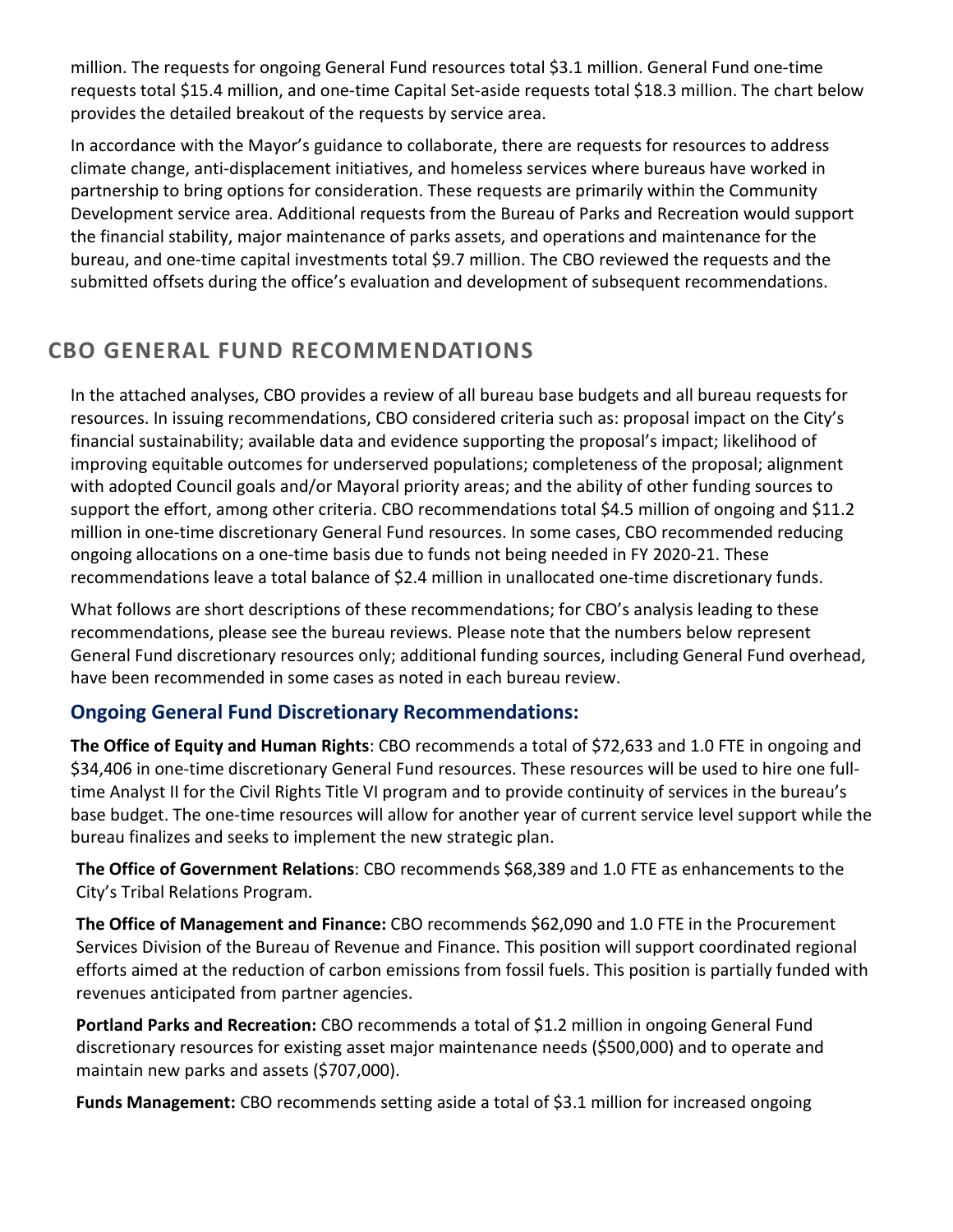million. The requests for ongoing General Fund resources total \$3.1 million. General Fund one-time requests total \$15.4 million, and one-time Capital Set-aside requests total \$18.3 million. The chart below provides the detailed breakout of the requests by service area.

In accordance with the Mayor's guidance to collaborate, there are requests for resources to address climate change, anti-displacement initiatives, and homeless services where bureaus have worked in partnership to bring options for consideration. These requests are primarily within the Community Development service area. Additional requests from the Bureau of Parks and Recreation would support the financial stability, major maintenance of parks assets, and operations and maintenance for the bureau, and one-time capital investments total \$9.7 million. The CBO reviewed the requests and the submitted offsets during the office's evaluation and development of subsequent recommendations.

# **CBO GENERAL FUND RECOMMENDATIONS**

In the attached analyses, CBO provides a review of all bureau base budgets and all bureau requests for resources. In issuing recommendations, CBO considered criteria such as: proposal impact on the City's financial sustainability; available data and evidence supporting the proposal's impact; likelihood of improving equitable outcomes for underserved populations; completeness of the proposal; alignment with adopted Council goals and/or Mayoral priority areas; and the ability of other funding sources to support the effort, among other criteria. CBO recommendations total \$4.5 million of ongoing and \$11.2 million in one-time discretionary General Fund resources. In some cases, CBO recommended reducing ongoing allocations on a one-time basis due to funds not being needed in FY 2020-21. These recommendations leave a total balance of \$2.4 million in unallocated one-time discretionary funds.

What follows are short descriptions of these recommendations; for CBO's analysis leading to these recommendations, please see the bureau reviews. Please note that the numbers below represent General Fund discretionary resources only; additional funding sources, including General Fund overhead, have been recommended in some cases as noted in each bureau review.

## **Ongoing General Fund Discretionary Recommendations:**

**The Office of Equity and Human Rights**: CBO recommends a total of \$72,633 and 1.0 FTE in ongoing and \$34,406 in one-time discretionary General Fund resources. These resources will be used to hire one fulltime Analyst II for the Civil Rights Title VI program and to provide continuity of services in the bureau's base budget. The one-time resources will allow for another year of current service level support while the bureau finalizes and seeks to implement the new strategic plan.

**The Office of Government Relations**: CBO recommends \$68,389 and 1.0 FTE as enhancements to the City's Tribal Relations Program.

**The Office of Management and Finance:** CBO recommends \$62,090 and 1.0 FTE in the Procurement Services Division of the Bureau of Revenue and Finance. This position will support coordinated regional efforts aimed at the reduction of carbon emissions from fossil fuels. This position is partially funded with revenues anticipated from partner agencies.

**Portland Parks and Recreation:** CBO recommends a total of \$1.2 million in ongoing General Fund discretionary resources for existing asset major maintenance needs (\$500,000) and to operate and maintain new parks and assets (\$707,000).

**Funds Management:** CBO recommends setting aside a total of \$3.1 million for increased ongoing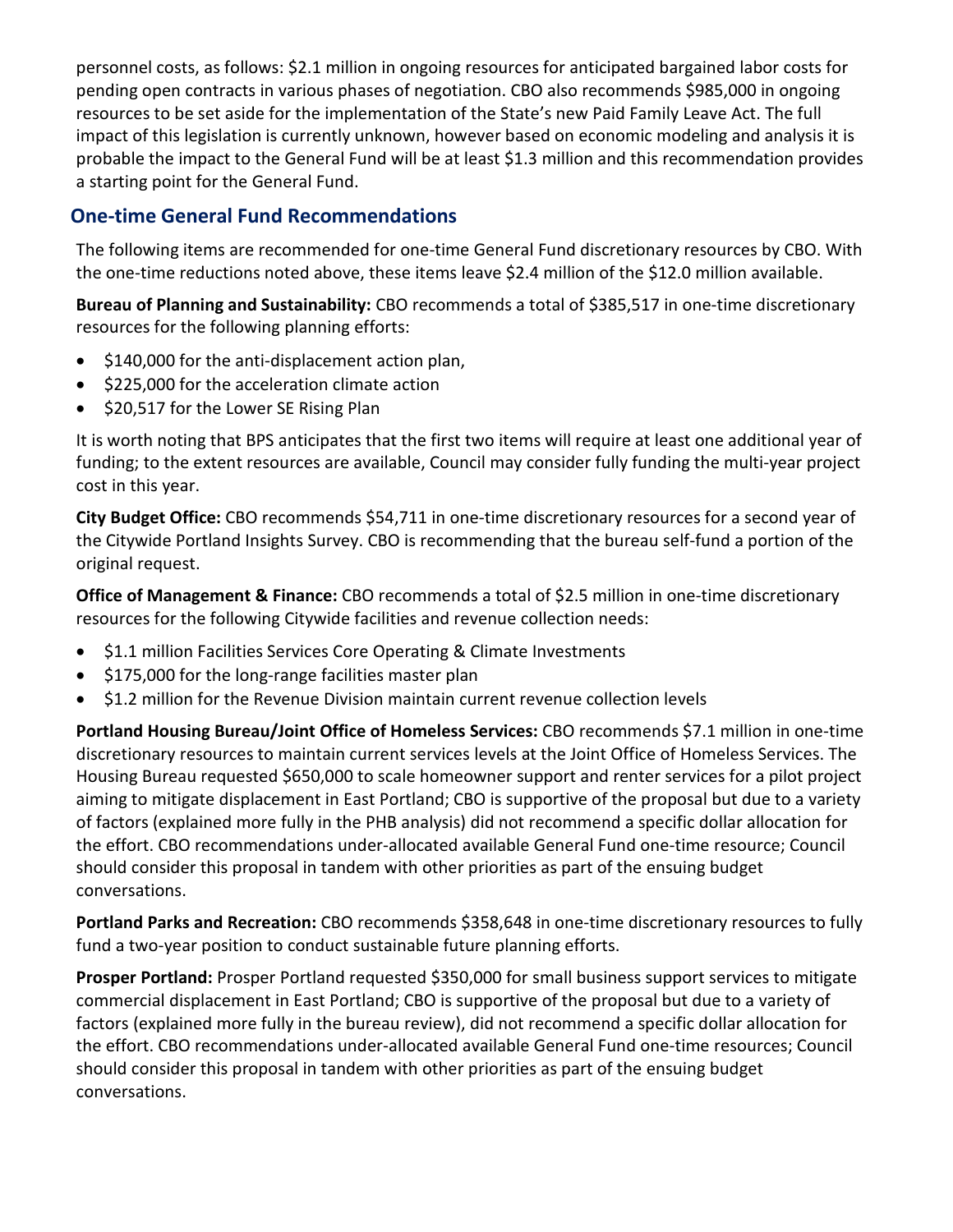personnel costs, as follows: \$2.1 million in ongoing resources for anticipated bargained labor costs for pending open contracts in various phases of negotiation. CBO also recommends \$985,000 in ongoing resources to be set aside for the implementation of the State's new Paid Family Leave Act. The full impact of this legislation is currently unknown, however based on economic modeling and analysis it is probable the impact to the General Fund will be at least \$1.3 million and this recommendation provides a starting point for the General Fund.

## **One-time General Fund Recommendations**

The following items are recommended for one-time General Fund discretionary resources by CBO. With the one-time reductions noted above, these items leave \$2.4 million of the \$12.0 million available.

**Bureau of Planning and Sustainability:** CBO recommends a total of \$385,517 in one-time discretionary resources for the following planning efforts:

- \$140,000 for the anti-displacement action plan,
- \$225,000 for the acceleration climate action
- \$20,517 for the Lower SE Rising Plan

It is worth noting that BPS anticipates that the first two items will require at least one additional year of funding; to the extent resources are available, Council may consider fully funding the multi-year project cost in this year.

**City Budget Office:** CBO recommends \$54,711 in one-time discretionary resources for a second year of the Citywide Portland Insights Survey. CBO is recommending that the bureau self-fund a portion of the original request.

**Office of Management & Finance:** CBO recommends a total of \$2.5 million in one-time discretionary resources for the following Citywide facilities and revenue collection needs:

- \$1.1 million Facilities Services Core Operating & Climate Investments
- \$175,000 for the long-range facilities master plan
- \$1.2 million for the Revenue Division maintain current revenue collection levels

**Portland Housing Bureau/Joint Office of Homeless Services:** CBO recommends \$7.1 million in one-time discretionary resources to maintain current services levels at the Joint Office of Homeless Services. The Housing Bureau requested \$650,000 to scale homeowner support and renter services for a pilot project aiming to mitigate displacement in East Portland; CBO is supportive of the proposal but due to a variety of factors (explained more fully in the PHB analysis) did not recommend a specific dollar allocation for the effort. CBO recommendations under-allocated available General Fund one-time resource; Council should consider this proposal in tandem with other priorities as part of the ensuing budget conversations.

**Portland Parks and Recreation:** CBO recommends \$358,648 in one-time discretionary resources to fully fund a two-year position to conduct sustainable future planning efforts.

**Prosper Portland:** Prosper Portland requested \$350,000 for small business support services to mitigate commercial displacement in East Portland; CBO is supportive of the proposal but due to a variety of factors (explained more fully in the bureau review), did not recommend a specific dollar allocation for the effort. CBO recommendations under-allocated available General Fund one-time resources; Council should consider this proposal in tandem with other priorities as part of the ensuing budget conversations.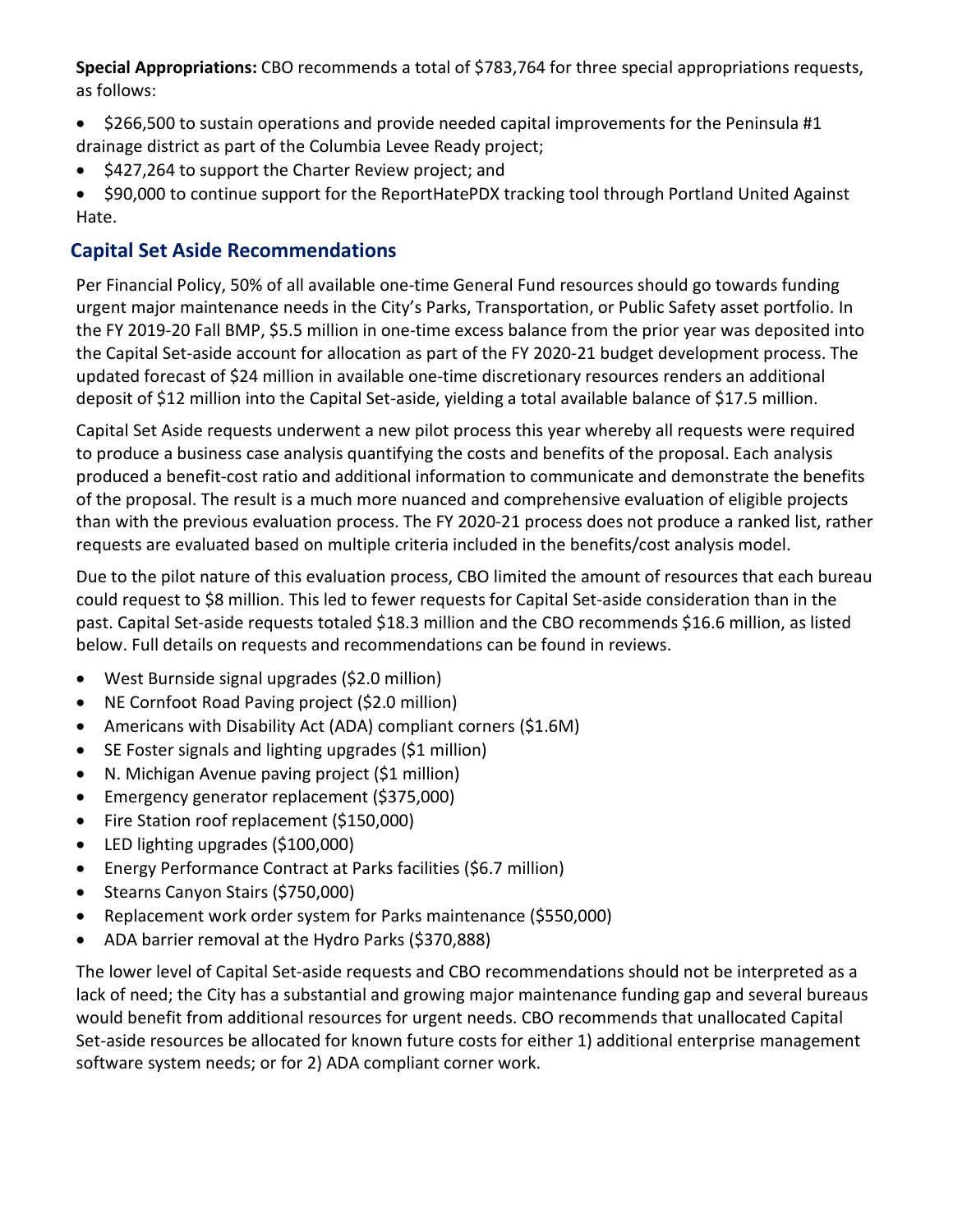**Special Appropriations:** CBO recommends a total of \$783,764 for three special appropriations requests, as follows:

- \$266,500 to sustain operations and provide needed capital improvements for the Peninsula #1 drainage district as part of the Columbia Levee Ready project;
- \$427,264 to support the Charter Review project; and

• \$90,000 to continue support for the ReportHatePDX tracking tool through Portland United Against Hate.

## **Capital Set Aside Recommendations**

Per Financial Policy, 50% of all available one-time General Fund resources should go towards funding urgent major maintenance needs in the City's Parks, Transportation, or Public Safety asset portfolio. In the FY 2019-20 Fall BMP, \$5.5 million in one-time excess balance from the prior year was deposited into the Capital Set-aside account for allocation as part of the FY 2020-21 budget development process. The updated forecast of \$24 million in available one-time discretionary resources renders an additional deposit of \$12 million into the Capital Set-aside, yielding a total available balance of \$17.5 million.

Capital Set Aside requests underwent a new pilot process this year whereby all requests were required to produce a business case analysis quantifying the costs and benefits of the proposal. Each analysis produced a benefit-cost ratio and additional information to communicate and demonstrate the benefits of the proposal. The result is a much more nuanced and comprehensive evaluation of eligible projects than with the previous evaluation process. The FY 2020-21 process does not produce a ranked list, rather requests are evaluated based on multiple criteria included in the benefits/cost analysis model.

Due to the pilot nature of this evaluation process, CBO limited the amount of resources that each bureau could request to \$8 million. This led to fewer requests for Capital Set-aside consideration than in the past. Capital Set-aside requests totaled \$18.3 million and the CBO recommends \$16.6 million, as listed below. Full details on requests and recommendations can be found in reviews.

- West Burnside signal upgrades (\$2.0 million)
- NE Cornfoot Road Paving project (\$2.0 million)
- Americans with Disability Act (ADA) compliant corners (\$1.6M)
- SE Foster signals and lighting upgrades (\$1 million)
- N. Michigan Avenue paving project (\$1 million)
- Emergency generator replacement (\$375,000)
- Fire Station roof replacement (\$150,000)
- LED lighting upgrades (\$100,000)
- Energy Performance Contract at Parks facilities (\$6.7 million)
- Stearns Canyon Stairs (\$750,000)
- Replacement work order system for Parks maintenance (\$550,000)
- ADA barrier removal at the Hydro Parks (\$370,888)

The lower level of Capital Set-aside requests and CBO recommendations should not be interpreted as a lack of need; the City has a substantial and growing major maintenance funding gap and several bureaus would benefit from additional resources for urgent needs. CBO recommends that unallocated Capital Set-aside resources be allocated for known future costs for either 1) additional enterprise management software system needs; or for 2) ADA compliant corner work.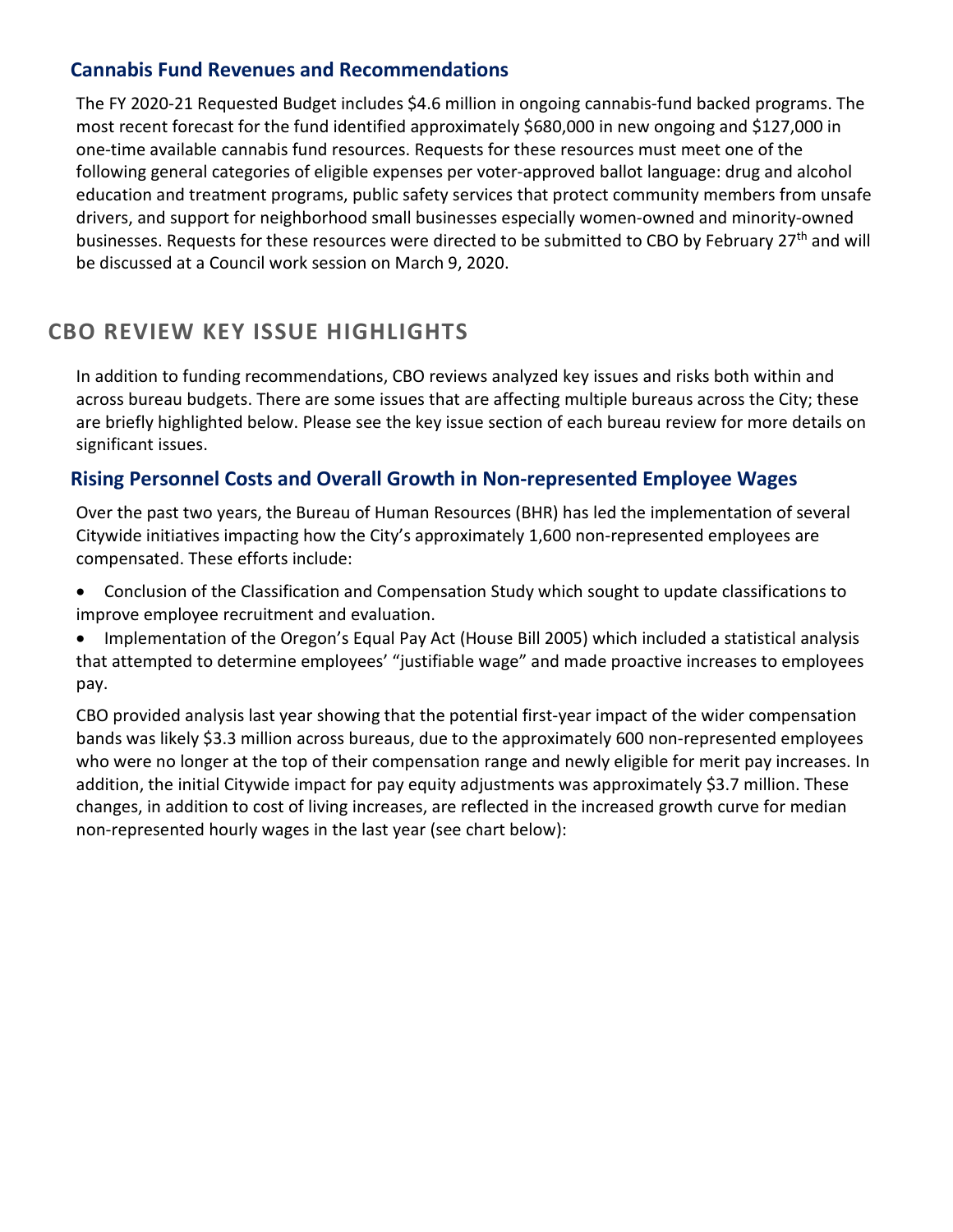### **Cannabis Fund Revenues and Recommendations**

The FY 2020-21 Requested Budget includes \$4.6 million in ongoing cannabis-fund backed programs. The most recent forecast for the fund identified approximately \$680,000 in new ongoing and \$127,000 in one-time available cannabis fund resources. Requests for these resources must meet one of the following general categories of eligible expenses per voter-approved ballot language: drug and alcohol education and treatment programs, public safety services that protect community members from unsafe drivers, and support for neighborhood small businesses especially women-owned and minority-owned businesses. Requests for these resources were directed to be submitted to CBO by February 27<sup>th</sup> and will be discussed at a Council work session on March 9, 2020.

## **CBO REVIEW KEY ISSUE HIGHLIGHTS**

In addition to funding recommendations, CBO reviews analyzed key issues and risks both within and across bureau budgets. There are some issues that are affecting multiple bureaus across the City; these are briefly highlighted below. Please see the key issue section of each bureau review for more details on significant issues.

#### **Rising Personnel Costs and Overall Growth in Non-represented Employee Wages**

Over the past two years, the Bureau of Human Resources (BHR) has led the implementation of several Citywide initiatives impacting how the City's approximately 1,600 non-represented employees are compensated. These efforts include:

• Conclusion of the Classification and Compensation Study which sought to update classifications to improve employee recruitment and evaluation.

• Implementation of the Oregon's Equal Pay Act (House Bill 2005) which included a statistical analysis that attempted to determine employees' "justifiable wage" and made proactive increases to employees pay.

CBO provided analysis last year showing that the potential first-year impact of the wider compensation bands was likely \$3.3 million across bureaus, due to the approximately 600 non-represented employees who were no longer at the top of their compensation range and newly eligible for merit pay increases. In addition, the initial Citywide impact for pay equity adjustments was approximately \$3.7 million. These changes, in addition to cost of living increases, are reflected in the increased growth curve for median non-represented hourly wages in the last year (see chart below):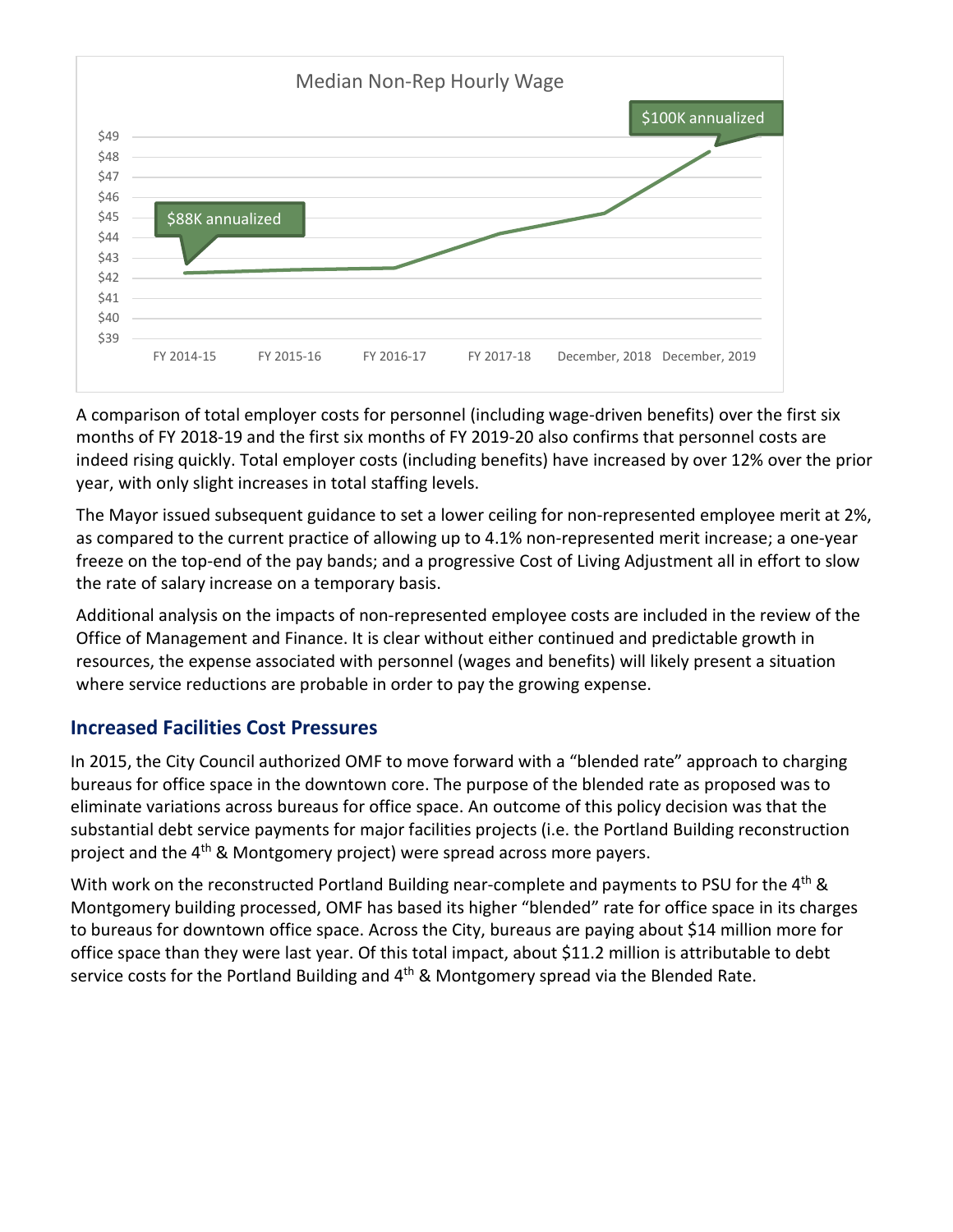

A comparison of total employer costs for personnel (including wage-driven benefits) over the first six months of FY 2018-19 and the first six months of FY 2019-20 also confirms that personnel costs are indeed rising quickly. Total employer costs (including benefits) have increased by over 12% over the prior year, with only slight increases in total staffing levels.

The Mayor issued subsequent guidance to set a lower ceiling for non-represented employee merit at 2%, as compared to the current practice of allowing up to 4.1% non-represented merit increase; a one-year freeze on the top-end of the pay bands; and a progressive Cost of Living Adjustment all in effort to slow the rate of salary increase on a temporary basis.

Additional analysis on the impacts of non-represented employee costs are included in the review of the Office of Management and Finance. It is clear without either continued and predictable growth in resources, the expense associated with personnel (wages and benefits) will likely present a situation where service reductions are probable in order to pay the growing expense.

#### **Increased Facilities Cost Pressures**

In 2015, the City Council authorized OMF to move forward with a "blended rate" approach to charging bureaus for office space in the downtown core. The purpose of the blended rate as proposed was to eliminate variations across bureaus for office space. An outcome of this policy decision was that the substantial debt service payments for major facilities projects (i.e. the Portland Building reconstruction project and the 4<sup>th</sup> & Montgomery project) were spread across more payers.

With work on the reconstructed Portland Building near-complete and payments to PSU for the 4<sup>th</sup> & Montgomery building processed, OMF has based its higher "blended" rate for office space in its charges to bureaus for downtown office space. Across the City, bureaus are paying about \$14 million more for office space than they were last year. Of this total impact, about \$11.2 million is attributable to debt service costs for the Portland Building and  $4<sup>th</sup>$  & Montgomery spread via the Blended Rate.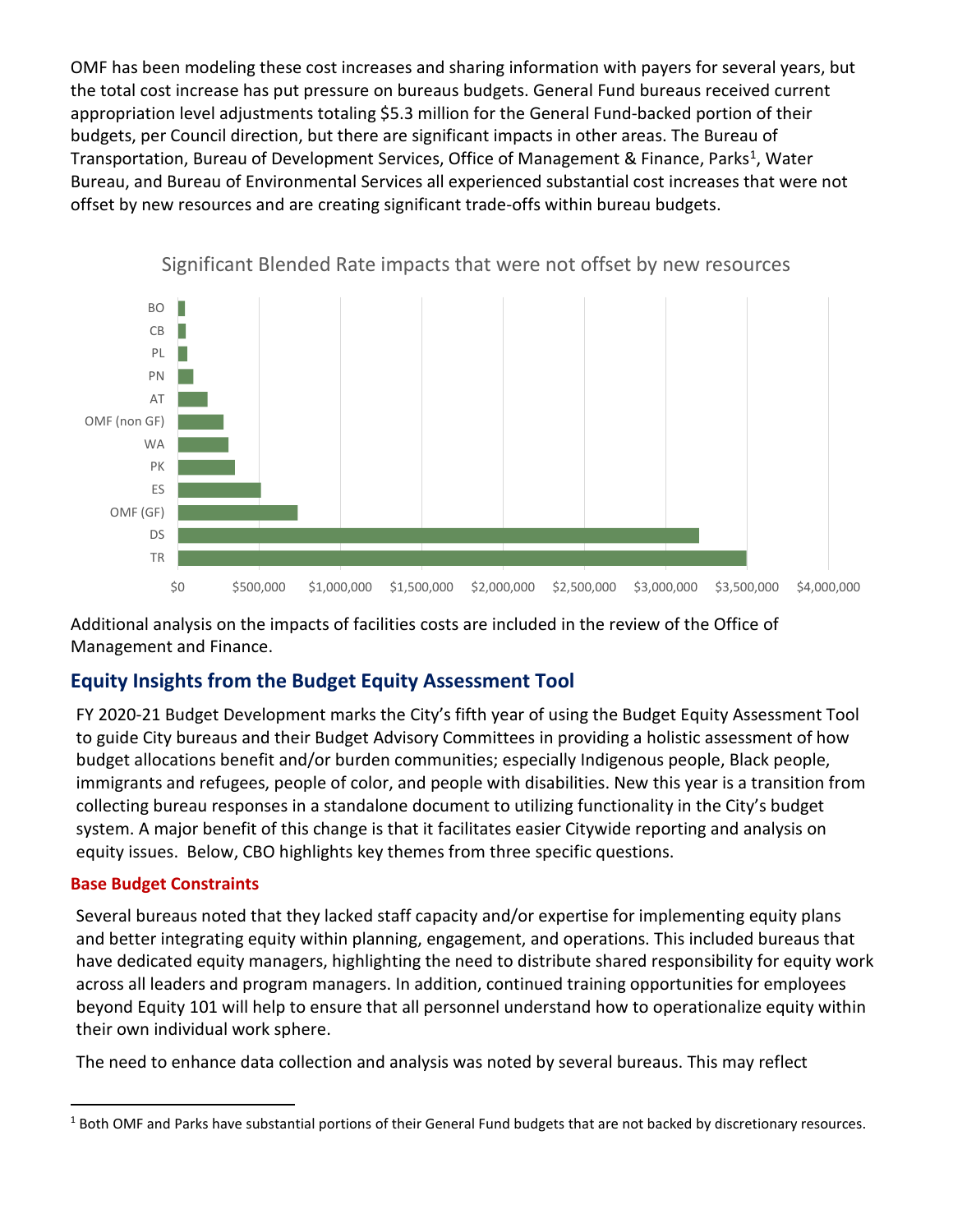OMF has been modeling these cost increases and sharing information with payers for several years, but the total cost increase has put pressure on bureaus budgets. General Fund bureaus received current appropriation level adjustments totaling \$5.3 million for the General Fund-backed portion of their budgets, per Council direction, but there are significant impacts in other areas. The Bureau of Transportation, Bureau of Development Services, Office of Management & Finance, Parks<sup>[1](#page-7-0)</sup>, Water Bureau, and Bureau of Environmental Services all experienced substantial cost increases that were not offset by new resources and are creating significant trade-offs within bureau budgets.



Significant Blended Rate impacts that were not offset by new resources

Additional analysis on the impacts of facilities costs are included in the review of the Office of Management and Finance.

#### **Equity Insights from the Budget Equity Assessment Tool**

FY 2020-21 Budget Development marks the City's fifth year of using the Budget Equity Assessment Tool to guide City bureaus and their Budget Advisory Committees in providing a holistic assessment of how budget allocations benefit and/or burden communities; especially Indigenous people, Black people, immigrants and refugees, people of color, and people with disabilities. New this year is a transition from collecting bureau responses in a standalone document to utilizing functionality in the City's budget system. A major benefit of this change is that it facilitates easier Citywide reporting and analysis on equity issues. Below, CBO highlights key themes from three specific questions.

#### **Base Budget Constraints**

Several bureaus noted that they lacked staff capacity and/or expertise for implementing equity plans and better integrating equity within planning, engagement, and operations. This included bureaus that have dedicated equity managers, highlighting the need to distribute shared responsibility for equity work across all leaders and program managers. In addition, continued training opportunities for employees beyond Equity 101 will help to ensure that all personnel understand how to operationalize equity within their own individual work sphere.

The need to enhance data collection and analysis was noted by several bureaus. This may reflect

<span id="page-7-0"></span><sup>&</sup>lt;sup>1</sup> Both OMF and Parks have substantial portions of their General Fund budgets that are not backed by discretionary resources.